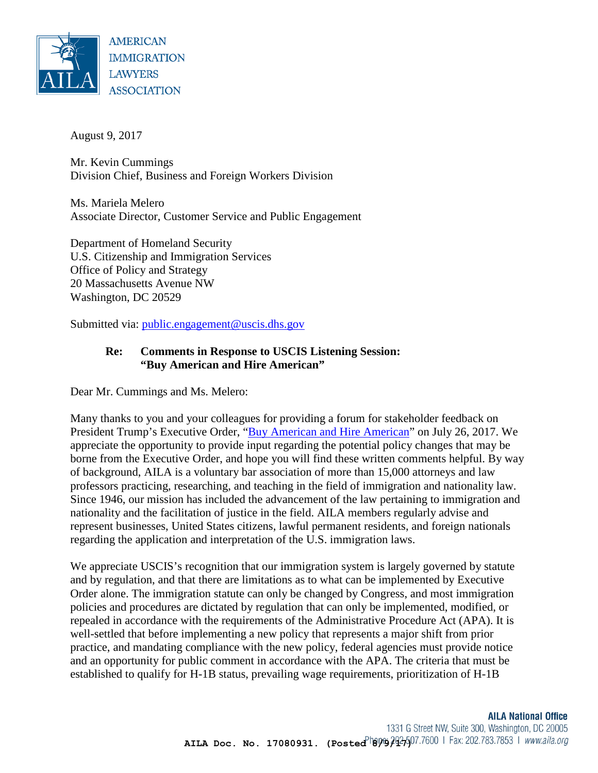

August 9, 2017

Mr. Kevin Cummings Division Chief, Business and Foreign Workers Division

Ms. Mariela Melero Associate Director, Customer Service and Public Engagement

Department of Homeland Security U.S. Citizenship and Immigration Services Office of Policy and Strategy 20 Massachusetts Avenue NW Washington, DC 20529

Submitted via: [public.engagement@uscis.dhs.gov](mailto:public.engagement@uscis.dhs.gov)

## **Re: Comments in Response to USCIS Listening Session: "Buy American and Hire American"**

Dear Mr. Cummings and Ms. Melero:

Many thanks to you and your colleagues for providing a forum for stakeholder feedback on President Trump's Executive Order, ["Buy American and Hire American"](https://www.whitehouse.gov/the-press-office/2017/04/18/presidential-executive-order-buy-american-and-hire-american) on July 26, 2017. We appreciate the opportunity to provide input regarding the potential policy changes that may be borne from the Executive Order, and hope you will find these written comments helpful. By way of background, AILA is a voluntary bar association of more than 15,000 attorneys and law professors practicing, researching, and teaching in the field of immigration and nationality law. Since 1946, our mission has included the advancement of the law pertaining to immigration and nationality and the facilitation of justice in the field. AILA members regularly advise and represent businesses, United States citizens, lawful permanent residents, and foreign nationals regarding the application and interpretation of the U.S. immigration laws.

We appreciate USCIS's recognition that our immigration system is largely governed by statute and by regulation, and that there are limitations as to what can be implemented by Executive Order alone. The immigration statute can only be changed by Congress, and most immigration policies and procedures are dictated by regulation that can only be implemented, modified, or repealed in accordance with the requirements of the Administrative Procedure Act (APA). It is well-settled that before implementing a new policy that represents a major shift from prior practice, and mandating compliance with the new policy, federal agencies must provide notice and an opportunity for public comment in accordance with the APA. The criteria that must be established to qualify for H-1B status, prevailing wage requirements, prioritization of H-1B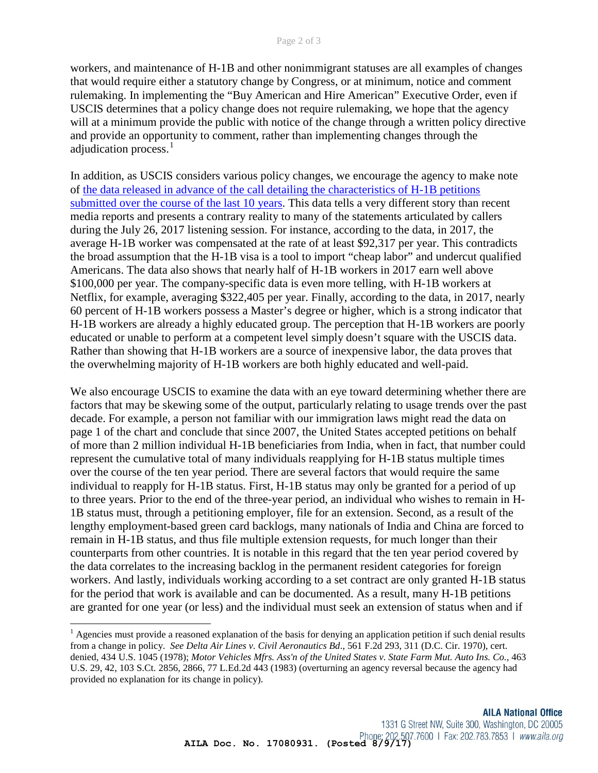workers, and maintenance of H-1B and other nonimmigrant statuses are all examples of changes that would require either a statutory change by Congress, or at minimum, notice and comment rulemaking. In implementing the "Buy American and Hire American" Executive Order, even if USCIS determines that a policy change does not require rulemaking, we hope that the agency will at a minimum provide the public with notice of the change through a written policy directive and provide an opportunity to comment, rather than implementing changes through the adjudication process.<sup>[1](#page-1-0)</sup>

In addition, as USCIS considers various policy changes, we encourage the agency to make note of [the data released in advance of the call detailing the characteristics of H-1B petitions](https://www.uscis.gov/sites/default/files/USCIS/Resources/Reports%20and%20Studies/Immigration%20Forms%20Data/BAHA/h-1b-2007-2017-trend-tables.pdf)  [submitted over the course of the last 10 years.](https://www.uscis.gov/sites/default/files/USCIS/Resources/Reports%20and%20Studies/Immigration%20Forms%20Data/BAHA/h-1b-2007-2017-trend-tables.pdf) This data tells a very different story than recent media reports and presents a contrary reality to many of the statements articulated by callers during the July 26, 2017 listening session. For instance, according to the data, in 2017, the average H-1B worker was compensated at the rate of at least \$92,317 per year. This contradicts the broad assumption that the H-1B visa is a tool to import "cheap labor" and undercut qualified Americans. The data also shows that nearly half of H-1B workers in 2017 earn well above \$100,000 per year. The company-specific data is even more telling, with H-1B workers at Netflix, for example, averaging \$322,405 per year. Finally, according to the data, in 2017, nearly 60 percent of H-1B workers possess a Master's degree or higher, which is a strong indicator that H-1B workers are already a highly educated group. The perception that H-1B workers are poorly educated or unable to perform at a competent level simply doesn't square with the USCIS data. Rather than showing that H-1B workers are a source of inexpensive labor, the data proves that the overwhelming majority of H-1B workers are both highly educated and well-paid.

We also encourage USCIS to examine the data with an eye toward determining whether there are factors that may be skewing some of the output, particularly relating to usage trends over the past decade. For example, a person not familiar with our immigration laws might read the data on page 1 of the chart and conclude that since 2007, the United States accepted petitions on behalf of more than 2 million individual H-1B beneficiaries from India, when in fact, that number could represent the cumulative total of many individuals reapplying for H-1B status multiple times over the course of the ten year period. There are several factors that would require the same individual to reapply for H-1B status. First, H-1B status may only be granted for a period of up to three years. Prior to the end of the three-year period, an individual who wishes to remain in H-1B status must, through a petitioning employer, file for an extension. Second, as a result of the lengthy employment-based green card backlogs, many nationals of India and China are forced to remain in H-1B status, and thus file multiple extension requests, for much longer than their counterparts from other countries. It is notable in this regard that the ten year period covered by the data correlates to the increasing backlog in the permanent resident categories for foreign workers. And lastly, individuals working according to a set contract are only granted H-1B status for the period that work is available and can be documented. As a result, many H-1B petitions are granted for one year (or less) and the individual must seek an extension of status when and if

 $\overline{\phantom{a}}$ 

<span id="page-1-0"></span><sup>&</sup>lt;sup>1</sup> Agencies must provide a reasoned explanation of the basis for denying an application petition if such denial results from a change in policy. *See Delta Air Lines v. Civil Aeronautics Bd*., 561 F.2d 293, 311 (D.C. Cir. 1970), cert. denied, 434 U.S. 1045 (1978); *Motor Vehicles Mfrs. Ass'n of the United States v. State Farm Mut. Auto Ins. Co.*, 463 U.S. 29, 42, 103 S.Ct. 2856, 2866, 77 L.Ed.2d 443 (1983) (overturning an agency reversal because the agency had provided no explanation for its change in policy).